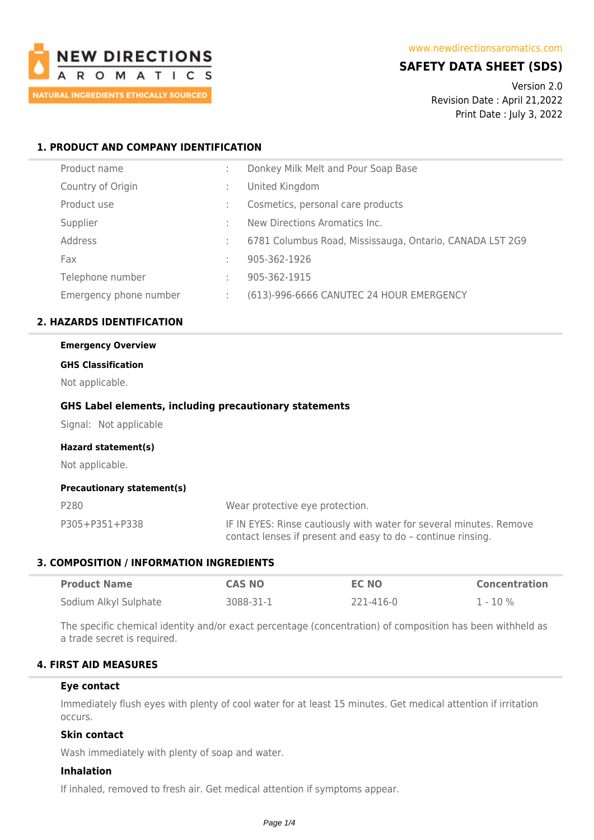

# **SAFETY DATA SHEET (SDS)**

Version 2.0 Revision Date : April 21,2022 Print Date : July 3, 2022

# **1. PRODUCT AND COMPANY IDENTIFICATION**

| Donkey Milk Melt and Pour Soap Base                      |
|----------------------------------------------------------|
| United Kingdom                                           |
| Cosmetics, personal care products                        |
| New Directions Aromatics Inc.                            |
| 6781 Columbus Road, Mississauga, Ontario, CANADA L5T 2G9 |
| 905-362-1926                                             |
| 905-362-1915                                             |
| (613)-996-6666 CANUTEC 24 HOUR EMERGENCY                 |
|                                                          |

# **2. HAZARDS IDENTIFICATION**

# **Emergency Overview**

# **GHS Classification**

Not applicable.

#### **GHS Label elements, including precautionary statements**

Signal: Not applicable

#### **Hazard statement(s)**

Not applicable.

#### **Precautionary statement(s)**

| P280           | Wear protective eye protection.                                                                                                     |
|----------------|-------------------------------------------------------------------------------------------------------------------------------------|
| P305+P351+P338 | IF IN EYES: Rinse cautiously with water for several minutes. Remove<br>contact lenses if present and easy to do - continue rinsing. |

#### **3. COMPOSITION / INFORMATION INGREDIENTS**

| <b>Product Name</b>   | <b>CAS NO</b> | <b>EC NO</b> | <b>Concentration</b> |
|-----------------------|---------------|--------------|----------------------|
| Sodium Alkyl Sulphate | 3088-31-1     | 221-416-0    | 1 - 10 %             |

The specific chemical identity and/or exact percentage (concentration) of composition has been withheld as a trade secret is required.

# **4. FIRST AID MEASURES**

#### **Eye contact**

Immediately flush eyes with plenty of cool water for at least 15 minutes. Get medical attention if irritation occurs.

#### **Skin contact**

Wash immediately with plenty of soap and water.

#### **Inhalation**

If inhaled, removed to fresh air. Get medical attention if symptoms appear.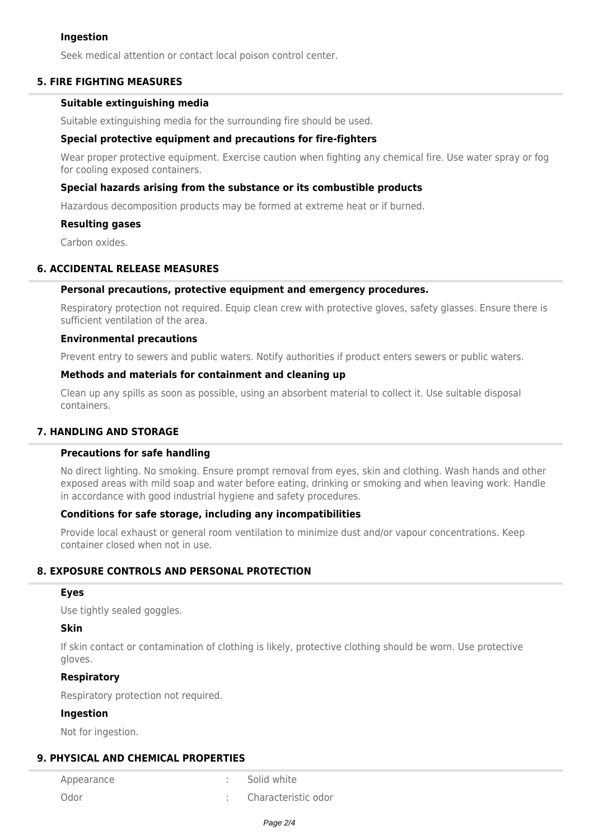#### **Ingestion**

Seek medical attention or contact local poison control center.

## **5. FIRE FIGHTING MEASURES**

#### **Suitable extinguishing media**

Suitable extinguishing media for the surrounding fire should be used.

## **Special protective equipment and precautions for fire-fighters**

Wear proper protective equipment. Exercise caution when fighting any chemical fire. Use water spray or fog for cooling exposed containers.

## **Special hazards arising from the substance or its combustible products**

Hazardous decomposition products may be formed at extreme heat or if burned.

#### **Resulting gases**

Carbon oxides.

#### **6. ACCIDENTAL RELEASE MEASURES**

#### **Personal precautions, protective equipment and emergency procedures.**

Respiratory protection not required. Equip clean crew with protective gloves, safety glasses. Ensure there is sufficient ventilation of the area.

#### **Environmental precautions**

Prevent entry to sewers and public waters. Notify authorities if product enters sewers or public waters.

#### **Methods and materials for containment and cleaning up**

Clean up any spills as soon as possible, using an absorbent material to collect it. Use suitable disposal containers.

#### **7. HANDLING AND STORAGE**

#### **Precautions for safe handling**

No direct lighting. No smoking. Ensure prompt removal from eyes, skin and clothing. Wash hands and other exposed areas with mild soap and water before eating, drinking or smoking and when leaving work. Handle in accordance with good industrial hygiene and safety procedures.

#### **Conditions for safe storage, including any incompatibilities**

Provide local exhaust or general room ventilation to minimize dust and/or vapour concentrations. Keep container closed when not in use.

# **8. EXPOSURE CONTROLS AND PERSONAL PROTECTION**

#### **Eyes**

Use tightly sealed goggles.

# **Skin**

If skin contact or contamination of clothing is likely, protective clothing should be worn. Use protective gloves.

#### **Respiratory**

Respiratory protection not required.

#### **Ingestion**

Not for ingestion.

# **9. PHYSICAL AND CHEMICAL PROPERTIES**

Appearance : Solid white

Odor : Characteristic odor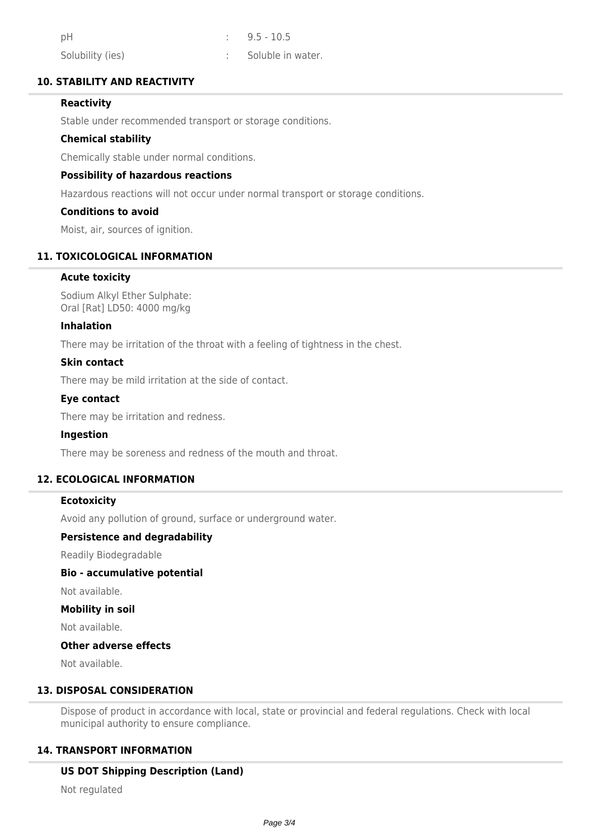| pH               | $\therefore$ 9.5 - 10.5 |
|------------------|-------------------------|
| Solubility (ies) | Soluble in water.       |

# **10. STABILITY AND REACTIVITY**

# **Reactivity**

Stable under recommended transport or storage conditions.

#### **Chemical stability**

Chemically stable under normal conditions.

#### **Possibility of hazardous reactions**

Hazardous reactions will not occur under normal transport or storage conditions.

#### **Conditions to avoid**

Moist, air, sources of ignition.

# **11. TOXICOLOGICAL INFORMATION**

#### **Acute toxicity**

Sodium Alkyl Ether Sulphate: Oral [Rat] LD50: 4000 mg/kg

#### **Inhalation**

There may be irritation of the throat with a feeling of tightness in the chest.

#### **Skin contact**

There may be mild irritation at the side of contact.

## **Eye contact**

There may be irritation and redness.

# **Ingestion**

There may be soreness and redness of the mouth and throat.

## **12. ECOLOGICAL INFORMATION**

#### **Ecotoxicity**

Avoid any pollution of ground, surface or underground water.

#### **Persistence and degradability**

Readily Biodegradable

## **Bio - accumulative potential**

Not available.

#### **Mobility in soil**

Not available.

#### **Other adverse effects**

Not available.

# **13. DISPOSAL CONSIDERATION**

Dispose of product in accordance with local, state or provincial and federal regulations. Check with local municipal authority to ensure compliance.

# **14. TRANSPORT INFORMATION**

### **US DOT Shipping Description (Land)**

Not regulated